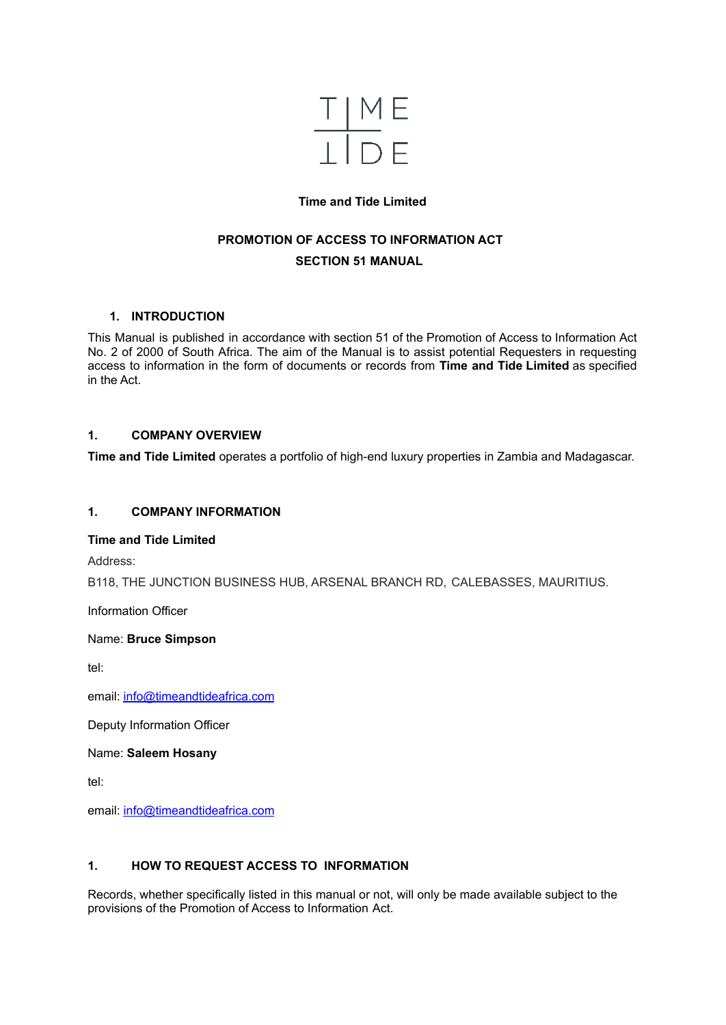

# **Time and Tide Limited**

# **PROMOTION OF ACCESS TO INFORMATION ACT SECTION 51 MANUAL**

# **1. INTRODUCTION**

This Manual is published in accordance with section 51 of the Promotion of Access to Information Act No. 2 of 2000 of South Africa. The aim of the Manual is to assist potential Requesters in requesting access to information in the form of documents or records from **Time and Tide Limited** as specified in the Act.

### **1. COMPANY OVERVIEW**

**Time and Tide Limited** operates a portfolio of high-end luxury properties in Zambia and Madagascar.

# **1. COMPANY INFORMATION**

### **Time and Tide Limited**

Address:

B118, THE JUNCTION BUSINESS HUB, ARSENAL BRANCH RD, CALEBASSES, MAURITIUS.

Information Officer

### Name: **Bruce Simpson**

tel:

email: [info@timeandtideafrica.com](mailto:info@timeandtideafrica.com)

Deputy Information Officer

Name: **Saleem Hosany**

tel:

email: [info@timeandtideafrica.com](mailto:info@timeandtideafrica.com)

### **1. HOW TO REQUEST ACCESS TO INFORMATION**

Records, whether specifically listed in this manual or not, will only be made available subject to the provisions of the Promotion of Access to Information Act.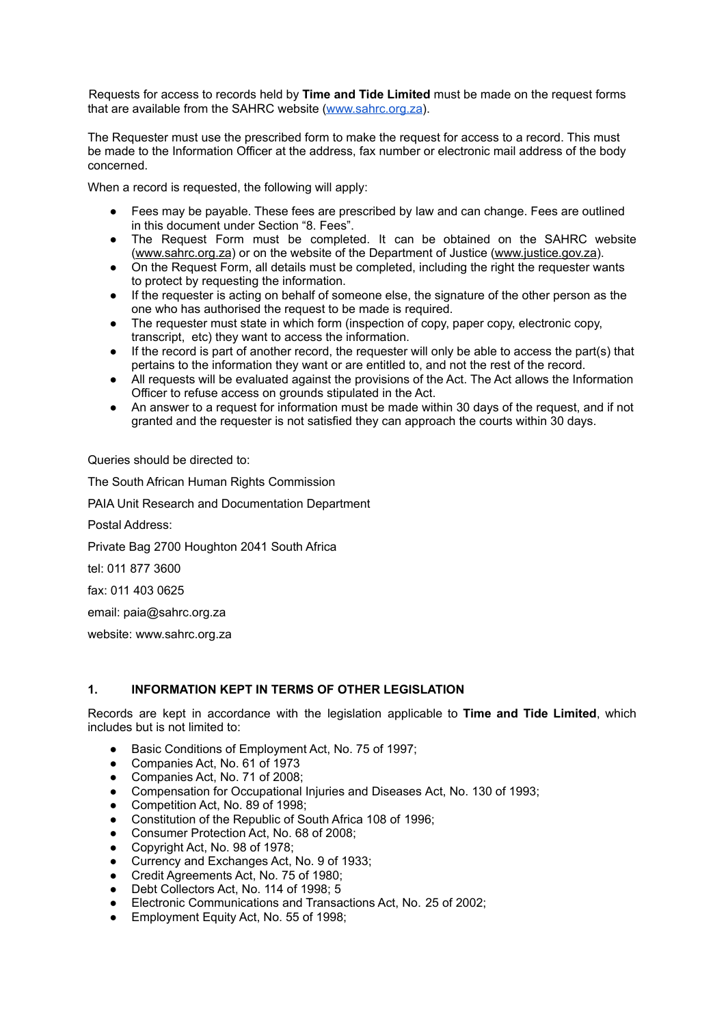Requests for access to records held by **Time and Tide Limited** must be made on the request forms that are available from the SAHRC website [\(www.sahrc.org.za](http://www.sahrc.org.za)).

The Requester must use the prescribed form to make the request for access to a record. This must be made to the Information Officer at the address, fax number or electronic mail address of the body concerned.

When a record is requested, the following will apply:

- Fees may be payable. These fees are prescribed by law and can change. Fees are outlined in this document under Section "8. Fees".
- The Request Form must be completed. It can be obtained on the SAHRC website (www.sahrc.org.za) or on the website of the Department of Justice (www.justice.gov.za).
- On the Request Form, all details must be completed, including the right the requester wants to protect by requesting the information.
- If the requester is acting on behalf of someone else, the signature of the other person as the one who has authorised the request to be made is required.
- The requester must state in which form (inspection of copy, paper copy, electronic copy, transcript, etc) they want to access the information.
- If the record is part of another record, the requester will only be able to access the part(s) that pertains to the information they want or are entitled to, and not the rest of the record.
- All requests will be evaluated against the provisions of the Act. The Act allows the Information Officer to refuse access on grounds stipulated in the Act.
- An answer to a request for information must be made within 30 days of the request, and if not granted and the requester is not satisfied they can approach the courts within 30 days.

Queries should be directed to:

The South African Human Rights Commission PAIA Unit Research and Documentation Department Postal Address: Private Bag 2700 Houghton 2041 South Africa tel: 011 877 3600 fax: 011 403 0625 email: paia@sahrc.org.za website: www.sahrc.org.za

# **1. INFORMATION KEPT IN TERMS OF OTHER LEGISLATION**

Records are kept in accordance with the legislation applicable to **Time and Tide Limited**, which includes but is not limited to:

- Basic Conditions of Employment Act, No. 75 of 1997;
- Companies Act, No. 61 of 1973
- Companies Act, No. 71 of 2008;
- Compensation for Occupational Injuries and Diseases Act, No. 130 of 1993;
- Competition Act, No. 89 of 1998;
- Constitution of the Republic of South Africa 108 of 1996;
- Consumer Protection Act, No. 68 of 2008:
- Copyright Act, No. 98 of 1978:
- Currency and Exchanges Act, No. 9 of 1933;
- Credit Agreements Act, No. 75 of 1980;
- Debt Collectors Act, No. 114 of 1998; 5
- Electronic Communications and Transactions Act, No. 25 of 2002;
- Employment Equity Act, No. 55 of 1998;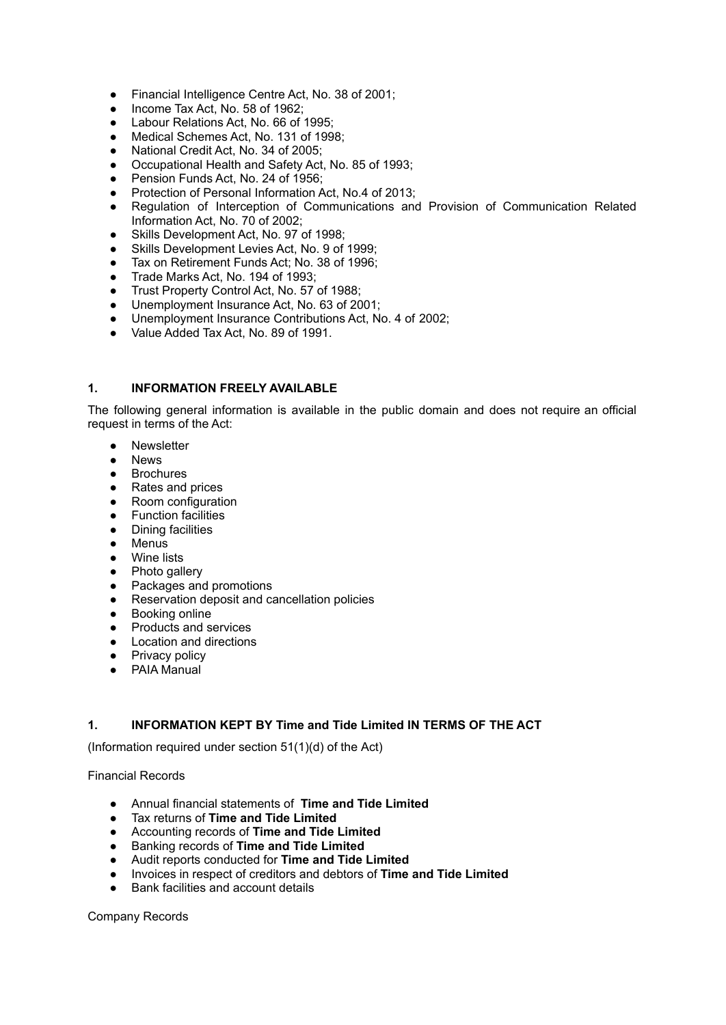- Financial Intelligence Centre Act, No. 38 of 2001;
- Income Tax Act, No. 58 of 1962;
- Labour Relations Act, No. 66 of 1995;
- Medical Schemes Act, No. 131 of 1998;
- National Credit Act, No. 34 of 2005;
- Occupational Health and Safety Act, No. 85 of 1993;
- Pension Funds Act, No. 24 of 1956;
- Protection of Personal Information Act, No.4 of 2013;
- Regulation of Interception of Communications and Provision of Communication Related Information Act, No. 70 of 2002;
- Skills Development Act, No. 97 of 1998;
- Skills Development Levies Act, No. 9 of 1999;
- Tax on Retirement Funds Act: No. 38 of 1996:
- Trade Marks Act, No. 194 of 1993:
- Trust Property Control Act, No. 57 of 1988;
- Unemployment Insurance Act, No. 63 of 2001;
- Unemployment Insurance Contributions Act, No. 4 of 2002;
- Value Added Tax Act, No. 89 of 1991.

# **1. INFORMATION FREELY AVAILABLE**

The following general information is available in the public domain and does not require an official request in terms of the Act:

- 
- Newsletter<br>● News **News**
- Brochures
- Rates and prices
- Room configuration
- Function facilities
- Dining facilities
- Menus
- Wine lists
- Photo gallery
- Packages and promotions
- Reservation deposit and cancellation policies
- Booking online
- Products and services
- Location and directions
- Privacy policy
- PAIA Manual

#### **1. INFORMATION KEPT BY Time and Tide Limited IN TERMS OF THE ACT**

(Information required under section 51(1)(d) of the Act)

#### Financial Records

- Annual financial statements of **Time and Tide Limited**
- Tax returns of **Time and Tide Limited**
- Accounting records of **Time and Tide Limited**
- Banking records of **Time and Tide Limited**
- Audit reports conducted for **Time and Tide Limited**
- Invoices in respect of creditors and debtors of **Time and Tide Limited**
- Bank facilities and account details

Company Records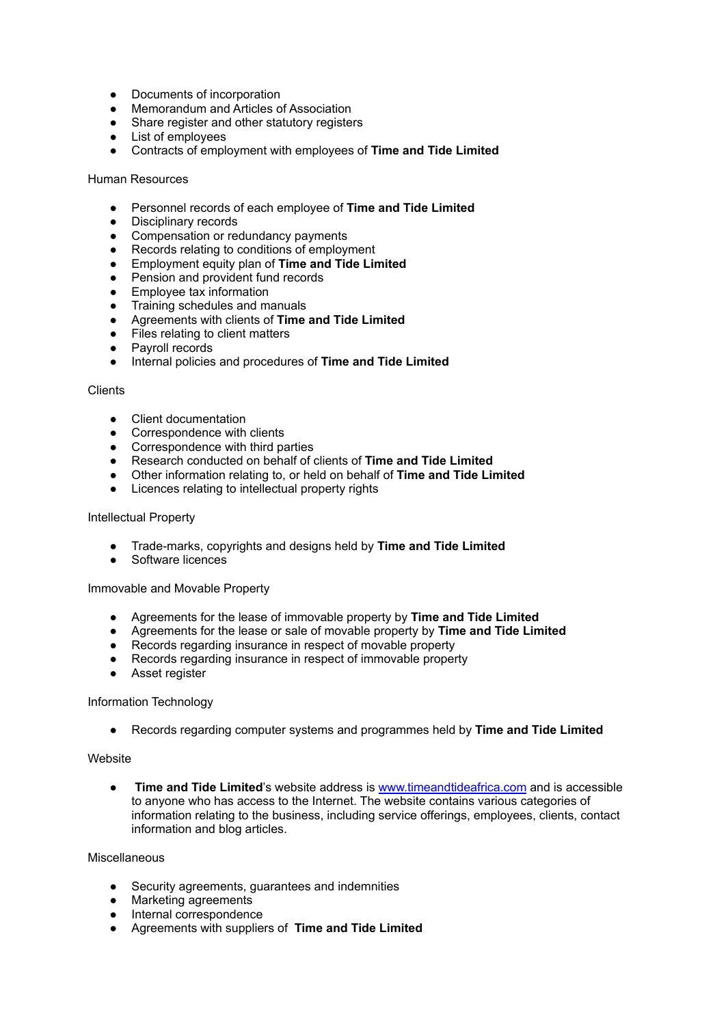- Documents of incorporation<br>• Memorandum and Articles o
- Memorandum and Articles of Association
- Share register and other statutory registers
- List of employees
- Contracts of employment with employees of **Time and Tide Limited**

#### Human Resources

- Personnel records of each employee of **Time and Tide Limited**
- Disciplinary records
- Compensation or redundancy payments
- Records relating to conditions of employment
- Employment equity plan of **Time and Tide Limited**
- Pension and provident fund records
- Employee tax information
- Training schedules and manuals
- Agreements with clients of **Time and Tide Limited**
- Files relating to client matters
- Payroll records
- Internal policies and procedures of **Time and Tide Limited**

#### **Clients**

- Client documentation
- Correspondence with clients
- Correspondence with third parties
- Research conducted on behalf of clients of **Time and Tide Limited**
- Other information relating to, or held on behalf of **Time and Tide Limited**
- Licences relating to intellectual property rights

#### Intellectual Property

- Trade-marks, copyrights and designs held by **Time and Tide Limited**
- Software licences

#### Immovable and Movable Property

- Agreements for the lease of immovable property by **Time and Tide Limited**
- Agreements for the lease or sale of movable property by **Time and Tide Limited**
- Records regarding insurance in respect of movable property
- Records regarding insurance in respect of immovable property
- Asset register

#### Information Technology

● Records regarding computer systems and programmes held by **Time and Tide Limited**

#### **Website**

**• Time and Tide Limited**'s website address is [www.timeandtideafrica.com](http://www.timeandtideafrica.com) and is accessible to anyone who has access to the Internet. The website contains various categories of information relating to the business, including service offerings, employees, clients, contact information and blog articles.

### **Miscellaneous**

- Security agreements, guarantees and indemnities
- Marketing agreements
- Internal correspondence
- Agreements with suppliers of **Time and Tide Limited**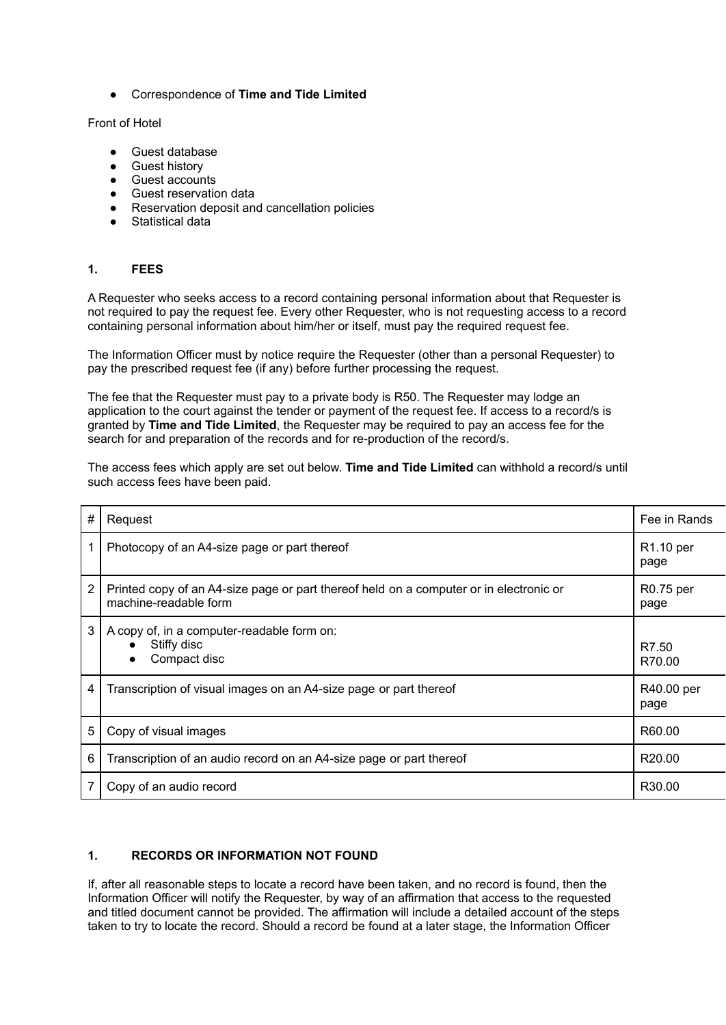● Correspondence of **Time and Tide Limited**

Front of Hotel

- Guest database
- Guest history
- Guest accounts
- Guest reservation data
- Reservation deposit and cancellation policies
- Statistical data

#### **1. FEES**

A Requester who seeks access to a record containing personal information about that Requester is not required to pay the request fee. Every other Requester, who is not requesting access to a record containing personal information about him/her or itself, must pay the required request fee.

The Information Officer must by notice require the Requester (other than a personal Requester) to pay the prescribed request fee (if any) before further processing the request.

The fee that the Requester must pay to a private body is R50. The Requester may lodge an application to the court against the tender or payment of the request fee. If access to a record/s is granted by **Time and Tide Limited**, the Requester may be required to pay an access fee for the search for and preparation of the records and for re-production of the record/s.

The access fees which apply are set out below. **Time and Tide Limited** can withhold a record/s until such access fees have been paid.

| # | Request                                                                                                         | Fee in Rands                  |
|---|-----------------------------------------------------------------------------------------------------------------|-------------------------------|
| 1 | Photocopy of an A4-size page or part thereof                                                                    | R <sub>1.10</sub> per<br>page |
| 2 | Printed copy of an A4-size page or part thereof held on a computer or in electronic or<br>machine-readable form | R0.75 per<br>page             |
| 3 | A copy of, in a computer-readable form on:<br>Stiffy disc<br>Compact disc                                       | R7.50<br>R70.00               |
| 4 | Transcription of visual images on an A4-size page or part thereof                                               | R40.00 per<br>page            |
| 5 | Copy of visual images                                                                                           | R60.00                        |
| 6 | Transcription of an audio record on an A4-size page or part thereof                                             | R <sub>20.00</sub>            |
|   | Copy of an audio record                                                                                         | R30.00                        |

### **1. RECORDS OR INFORMATION NOT FOUND**

If, after all reasonable steps to locate a record have been taken, and no record is found, then the Information Officer will notify the Requester, by way of an affirmation that access to the requested and titled document cannot be provided. The affirmation will include a detailed account of the steps taken to try to locate the record. Should a record be found at a later stage, the Information Officer